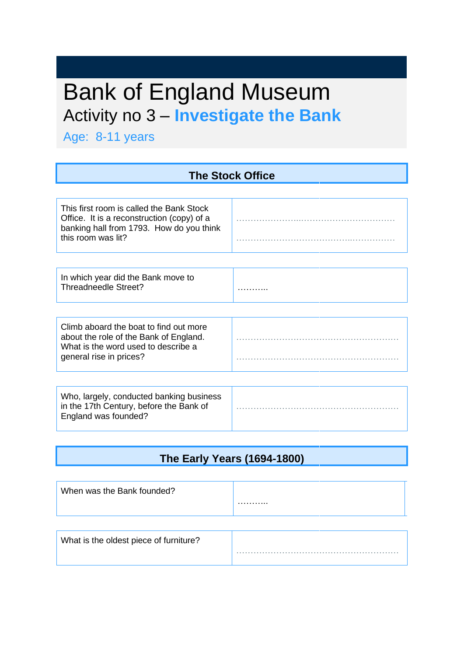# Bank of England Museum Activity no 3 – **Investigate the Bank**

Age: 8-11 years

| <b>The Stock Office</b>                                                                                                                                  |  |
|----------------------------------------------------------------------------------------------------------------------------------------------------------|--|
|                                                                                                                                                          |  |
| This first room is called the Bank Stock<br>Office. It is a reconstruction (copy) of a<br>banking hall from 1793. How do you think<br>this room was lit? |  |
|                                                                                                                                                          |  |
| In which year did the Bank move to<br>Threadneedle Street?                                                                                               |  |
|                                                                                                                                                          |  |
| Climb aboard the boat to find out more<br>about the role of the Bank of England.<br>What is the word used to describe a<br>general rise in prices?       |  |
|                                                                                                                                                          |  |
| Who, largely, conducted banking business<br>in the 17th Century, before the Bank of<br>England was founded?                                              |  |

#### **The Early Years (1694-1800)**

| When was the Bank founded? | . |
|----------------------------|---|
|                            |   |

| What is the oldest piece of furniture? |  |
|----------------------------------------|--|
|                                        |  |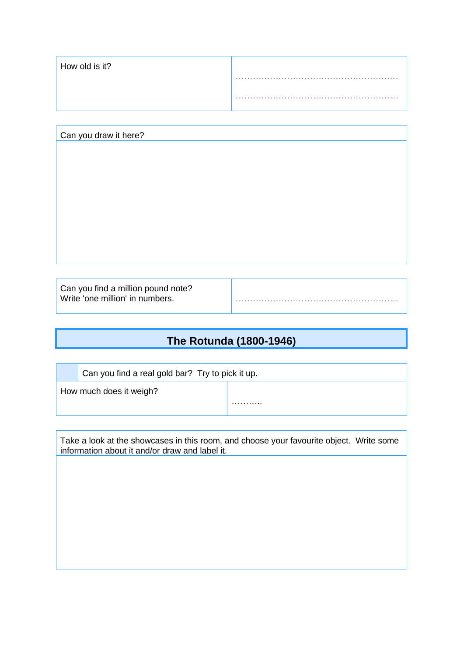| How old is it? |   |
|----------------|---|
|                | . |
|                | . |
|                |   |

| Can you draw it here? |  |
|-----------------------|--|
|                       |  |
|                       |  |
|                       |  |
|                       |  |
|                       |  |
|                       |  |
|                       |  |
|                       |  |
|                       |  |
|                       |  |
|                       |  |
|                       |  |
|                       |  |
|                       |  |

Can you find a million pound note? Write 'one million' in numbers. …………………………………………………

#### **The Rotunda (1800-1946)**

Can you find a real gold bar? Try to pick it up.

How much does it weigh?

Take a look at the showcases in this room, and choose your favourite object. Write some information about it and/or draw and label it.

………..